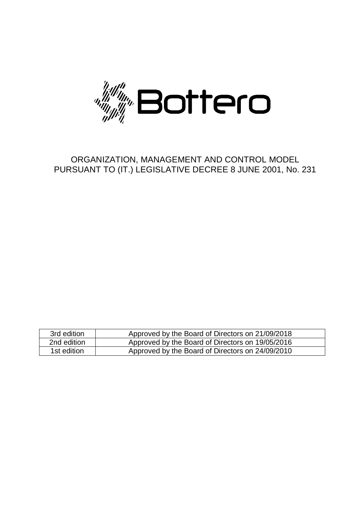

# ORGANIZATION, MANAGEMENT AND CONTROL MODEL PURSUANT TO (IT.) LEGISLATIVE DECREE 8 JUNE 2001, No. 231

| 3rd edition | Approved by the Board of Directors on 21/09/2018 |
|-------------|--------------------------------------------------|
| 2nd edition | Approved by the Board of Directors on 19/05/2016 |
| 1st edition | Approved by the Board of Directors on 24/09/2010 |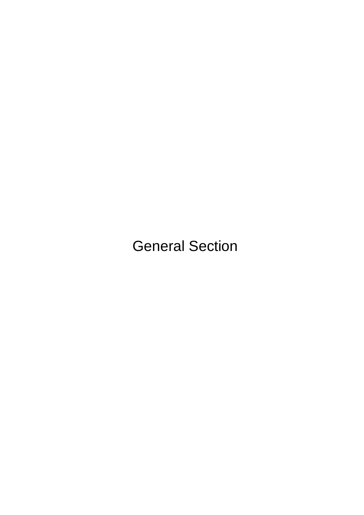General Section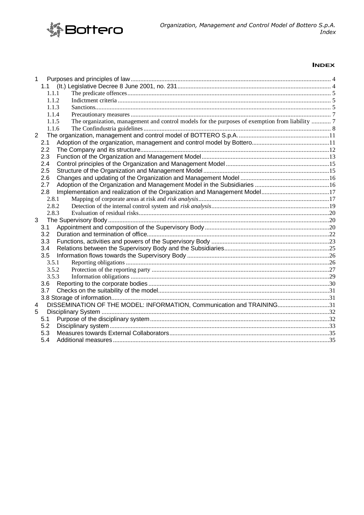

# **INDEX**

| 1              |       |                                                                                                 |  |
|----------------|-------|-------------------------------------------------------------------------------------------------|--|
|                | 1.1   |                                                                                                 |  |
|                | 1.1.1 |                                                                                                 |  |
|                | 1.1.2 |                                                                                                 |  |
|                | 1.1.3 |                                                                                                 |  |
|                | 1.1.4 |                                                                                                 |  |
|                | 1.1.5 | The organization, management and control models for the purposes of exemption from liability  7 |  |
|                | 1.1.6 |                                                                                                 |  |
| $\overline{2}$ |       |                                                                                                 |  |
|                | 2.1   |                                                                                                 |  |
|                | 2.2   |                                                                                                 |  |
|                | 2.3   |                                                                                                 |  |
|                | 2.4   |                                                                                                 |  |
|                | 2.5   |                                                                                                 |  |
|                | 2.6   |                                                                                                 |  |
|                | 2.7   |                                                                                                 |  |
|                | 2.8   |                                                                                                 |  |
|                | 2.8.1 |                                                                                                 |  |
|                | 2.8.2 |                                                                                                 |  |
|                | 2.8.3 |                                                                                                 |  |
| 3              |       |                                                                                                 |  |
|                | 3.1   |                                                                                                 |  |
|                | 3.2   |                                                                                                 |  |
|                | 3.3   |                                                                                                 |  |
|                | 3.4   |                                                                                                 |  |
|                | 3.5   |                                                                                                 |  |
|                | 3.5.1 |                                                                                                 |  |
|                | 3.5.2 |                                                                                                 |  |
|                | 3.5.3 |                                                                                                 |  |
|                | 3.6   |                                                                                                 |  |
|                | 3.7   |                                                                                                 |  |
|                |       |                                                                                                 |  |
| 4              |       | DISSEMINATION OF THE MODEL: INFORMATION, Communication and TRAINING31                           |  |
| 5              |       |                                                                                                 |  |
|                | 5.1   |                                                                                                 |  |
|                | 5.2   |                                                                                                 |  |
|                | 5.3   |                                                                                                 |  |
|                | 5.4   |                                                                                                 |  |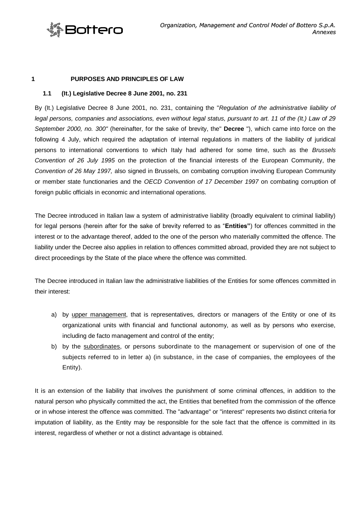

#### <span id="page-3-0"></span>**1 PURPOSES AND PRINCIPLES OF LAW**

#### <span id="page-3-1"></span>**1.1 (It.) Legislative Decree 8 June 2001, no. 231**

By (It.) Legislative Decree 8 June 2001, no. 231, containing the "*Regulation of the administrative liability of legal persons, companies and associations, even without legal status, pursuant to art. 11 of the (It.) Law of 29 September 2000, no. 300"* (hereinafter, for the sake of brevity, the" **Decree** "), which came into force on the following 4 July, which required the adaptation of internal regulations in matters of the liability of juridical persons to international conventions to which Italy had adhered for some time, such as the *Brussels Convention of 26 July 1995* on the protection of the financial interests of the European Community, the *Convention of 26 May 1997,* also signed in Brussels, on combating corruption involving European Community or member state functionaries and the *OECD Convention of 17 December 1997* on combating corruption of foreign public officials in economic and international operations.

The Decree introduced in Italian law a system of administrative liability (broadly equivalent to criminal liability) for legal persons (herein after for the sake of brevity referred to as "**Entities"**) for offences committed in the interest or to the advantage thereof, added to the one of the person who materially committed the offence. The liability under the Decree also applies in relation to offences committed abroad, provided they are not subject to direct proceedings by the State of the place where the offence was committed.

The Decree introduced in Italian law the administrative liabilities of the Entities for some offences committed in their interest:

- a) by upper management, that is representatives, directors or managers of the Entity or one of its organizational units with financial and functional autonomy, as well as by persons who exercise, including de facto management and control of the entity;
- b) by the subordinates, or persons subordinate to the management or supervision of one of the subjects referred to in letter a) (in substance, in the case of companies, the employees of the Entity).

It is an extension of the liability that involves the punishment of some criminal offences, in addition to the natural person who physically committed the act, the Entities that benefited from the commission of the offence or in whose interest the offence was committed. The "advantage" or "interest" represents two distinct criteria for imputation of liability, as the Entity may be responsible for the sole fact that the offence is committed in its interest, regardless of whether or not a distinct advantage is obtained.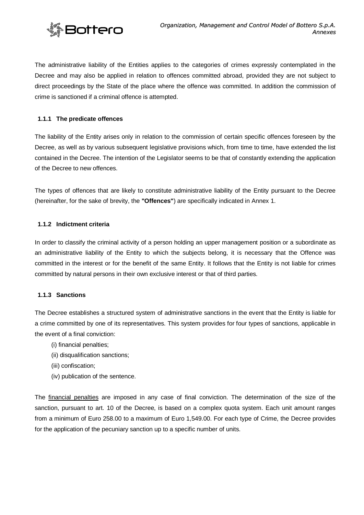

The administrative liability of the Entities applies to the categories of crimes expressly contemplated in the Decree and may also be applied in relation to offences committed abroad, provided they are not subject to direct proceedings by the State of the place where the offence was committed. In addition the commission of crime is sanctioned if a criminal offence is attempted.

# <span id="page-4-0"></span>**1.1.1 The predicate offences**

The liability of the Entity arises only in relation to the commission of certain specific offences foreseen by the Decree, as well as by various subsequent legislative provisions which, from time to time, have extended the list contained in the Decree. The intention of the Legislator seems to be that of constantly extending the application of the Decree to new offences.

The types of offences that are likely to constitute administrative liability of the Entity pursuant to the Decree (hereinafter, for the sake of brevity, the **"Offences"**) are specifically indicated in Annex 1.

# <span id="page-4-1"></span>**1.1.2 Indictment criteria**

In order to classify the criminal activity of a person holding an upper management position or a subordinate as an administrative liability of the Entity to which the subjects belong, it is necessary that the Offence was committed in the interest or for the benefit of the same Entity. It follows that the Entity is not liable for crimes committed by natural persons in their own exclusive interest or that of third parties.

# <span id="page-4-2"></span>**1.1.3 Sanctions**

The Decree establishes a structured system of administrative sanctions in the event that the Entity is liable for a crime committed by one of its representatives. This system provides for four types of sanctions, applicable in the event of a final conviction:

- (i) financial penalties;
- (ii) disqualification sanctions;
- (iii) confiscation;
- (iv) publication of the sentence.

The financial penalties are imposed in any case of final conviction. The determination of the size of the sanction, pursuant to art. 10 of the Decree, is based on a complex quota system. Each unit amount ranges from a minimum of Euro 258.00 to a maximum of Euro 1,549.00. For each type of Crime, the Decree provides for the application of the pecuniary sanction up to a specific number of units.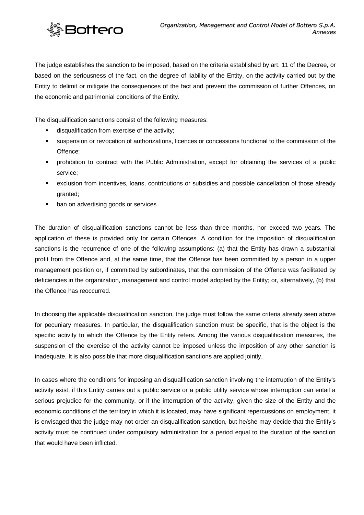

The judge establishes the sanction to be imposed, based on the criteria established by art. 11 of the Decree, or based on the seriousness of the fact, on the degree of liability of the Entity, on the activity carried out by the Entity to delimit or mitigate the consequences of the fact and prevent the commission of further Offences, on the economic and patrimonial conditions of the Entity.

The disqualification sanctions consist of the following measures:

- disqualification from exercise of the activity;
- suspension or revocation of authorizations, licences or concessions functional to the commission of the Offence;
- prohibition to contract with the Public Administration, except for obtaining the services of a public service;
- exclusion from incentives, loans, contributions or subsidies and possible cancellation of those already granted;
- ban on advertising goods or services.

The duration of disqualification sanctions cannot be less than three months, nor exceed two years. The application of these is provided only for certain Offences. A condition for the imposition of disqualification sanctions is the recurrence of one of the following assumptions: (a) that the Entity has drawn a substantial profit from the Offence and, at the same time, that the Offence has been committed by a person in a upper management position or, if committed by subordinates, that the commission of the Offence was facilitated by deficiencies in the organization, management and control model adopted by the Entity; or, alternatively, (b) that the Offence has reoccurred.

In choosing the applicable disqualification sanction, the judge must follow the same criteria already seen above for pecuniary measures. In particular, the disqualification sanction must be specific, that is the object is the specific activity to which the Offence by the Entity refers. Among the various disqualification measures, the suspension of the exercise of the activity cannot be imposed unless the imposition of any other sanction is inadequate. It is also possible that more disqualification sanctions are applied jointly.

In cases where the conditions for imposing an disqualification sanction involving the interruption of the Entity's activity exist, if this Entity carries out a public service or a public utility service whose interruption can entail a serious prejudice for the community, or if the interruption of the activity, given the size of the Entity and the economic conditions of the territory in which it is located, may have significant repercussions on employment, it is envisaged that the judge may not order an disqualification sanction, but he/she may decide that the Entity's activity must be continued under compulsory administration for a period equal to the duration of the sanction that would have been inflicted.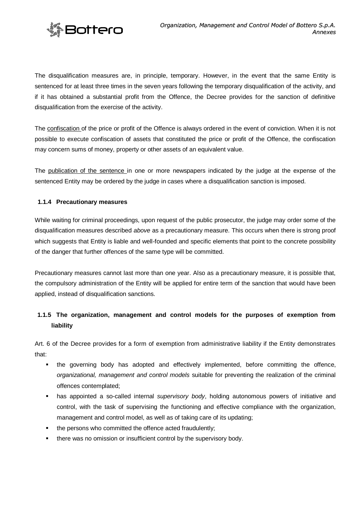

The disqualification measures are, in principle, temporary. However, in the event that the same Entity is sentenced for at least three times in the seven years following the temporary disqualification of the activity, and if it has obtained a substantial profit from the Offence, the Decree provides for the sanction of definitive disqualification from the exercise of the activity.

The confiscation of the price or profit of the Offence is always ordered in the event of conviction. When it is not possible to execute confiscation of assets that constituted the price or profit of the Offence, the confiscation may concern sums of money, property or other assets of an equivalent value.

The publication of the sentence in one or more newspapers indicated by the judge at the expense of the sentenced Entity may be ordered by the judge in cases where a disqualification sanction is imposed.

# <span id="page-6-0"></span>**1.1.4 Precautionary measures**

While waiting for criminal proceedings, upon request of the public prosecutor, the judge may order some of the disqualification measures described *above* as a precautionary measure. This occurs when there is strong proof which suggests that Entity is liable and well-founded and specific elements that point to the concrete possibility of the danger that further offences of the same type will be committed.

Precautionary measures cannot last more than one year. Also as a precautionary measure, it is possible that, the compulsory administration of the Entity will be applied for entire term of the sanction that would have been applied, instead of disqualification sanctions.

# <span id="page-6-1"></span>**1.1.5 The organization, management and control models for the purposes of exemption from liability**

Art. 6 of the Decree provides for a form of exemption from administrative liability if the Entity demonstrates that:

- the governing body has adopted and effectively implemented, before committing the offence, *organizational, management and control models* suitable for preventing the realization of the criminal offences contemplated;
- has appointed a so-called internal *supervisory body*, holding autonomous powers of initiative and control, with the task of supervising the functioning and effective compliance with the organization, management and control model, as well as of taking care of its updating;
- the persons who committed the offence acted fraudulently;
- **there was no omission or insufficient control by the supervisory body.**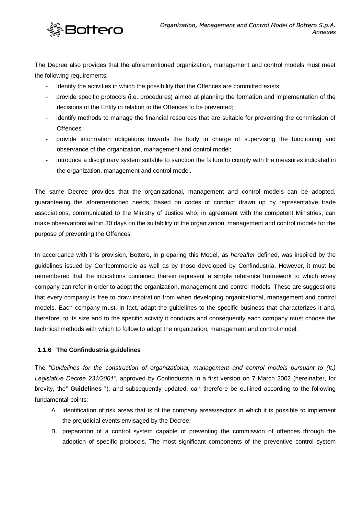

The Decree also provides that the aforementioned organization, management and control models must meet the following requirements:

- identify the activities in which the possibility that the Offences are committed exists;
- provide specific protocols (i.e. procedures) aimed at planning the formation and implementation of the decisions of the Entity in relation to the Offences to be prevented;
- identify methods to manage the financial resources that are suitable for preventing the commission of Offences;
- provide information obligations towards the body in charge of supervising the functioning and observance of the organization, management and control model;
- introduce a disciplinary system suitable to sanction the failure to comply with the measures indicated in the organization, management and control model.

The same Decree provides that the organizational, management and control models can be adopted, guaranteeing the aforementioned needs, based on codes of conduct drawn up by representative trade associations, communicated to the Ministry of Justice who, in agreement with the competent Ministries, can make observations within 30 days on the suitability of the organization, management and control models for the purpose of preventing the Offences.

In accordance with this provision, Bottero, in preparing this Model, as *hereafter* defined, was inspired by the guidelines issued by Confcommercio as well as by those developed by Confindustria. However, it must be remembered that the indications contained therein represent a simple reference framework to which every company can refer in order to adopt the organization, management and control models. These are suggestions that every company is free to draw inspiration from when developing organizational, management and control models. Each company must, in fact, adapt the guidelines to the specific business that characterizes it and, therefore, to its size and to the specific activity it conducts and consequently each company must choose the technical methods with which to follow to adopt the organization, management and control model.

# <span id="page-7-0"></span>**1.1.6 The Confindustria guidelines**

The "*Guidelines for the construction of organizational, management and control models pursuant to (It.) Legislative Decree 231/2001",* approved by Confindustria in a first version on 7 March 2002 (hereinafter, for brevity, the" **Guidelines** "), and subsequently updated, can therefore be outlined according to the following fundamental points:

- A. identification of risk areas that is of the company areas/sectors in which it is possible to implement the prejudicial events envisaged by the Decree;
- B. preparation of a control system capable of preventing the commission of offences through the adoption of specific protocols. The most significant components of the preventive control system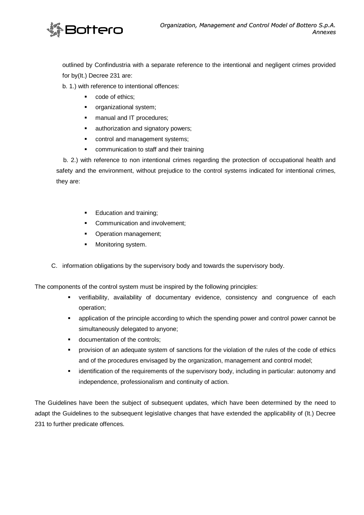

outlined by Confindustria with a separate reference to the intentional and negligent crimes provided for by(It.) Decree 231 are:

b. 1.) with reference to intentional offences:

- code of ethics;
- **•** organizational system;
- **nanual and IT procedures;**
- **EXEC** authorization and signatory powers;
- **•** control and management systems;
- **•** communication to staff and their training

 b. 2.) with reference to non intentional crimes regarding the protection of occupational health and safety and the environment, without prejudice to the control systems indicated for intentional crimes, they are:

- Education and training;
- **Communication and involvement;**
- Operation management;
- **Monitoring system.**
- C. information obligations by the supervisory body and towards the supervisory body.

The components of the control system must be inspired by the following principles:

- verifiability, availability of documentary evidence, consistency and congruence of each operation;
- application of the principle according to which the spending power and control power cannot be simultaneously delegated to anyone;
- documentation of the controls;
- provision of an adequate system of sanctions for the violation of the rules of the code of ethics and of the procedures envisaged by the organization, management and control model;
- identification of the requirements of the supervisory body, including in particular: autonomy and independence, professionalism and continuity of action.

The Guidelines have been the subject of subsequent updates, which have been determined by the need to adapt the Guidelines to the subsequent legislative changes that have extended the applicability of (It.) Decree 231 to further predicate offences.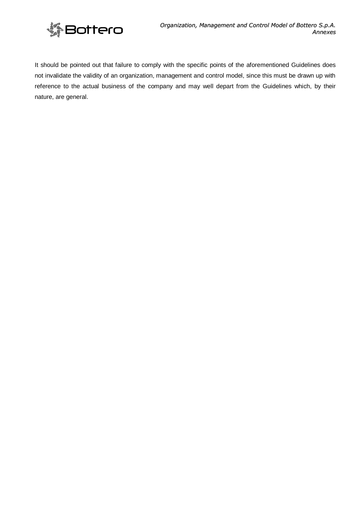

It should be pointed out that failure to comply with the specific points of the aforementioned Guidelines does not invalidate the validity of an organization, management and control model, since this must be drawn up with reference to the actual business of the company and may well depart from the Guidelines which, by their nature, are general.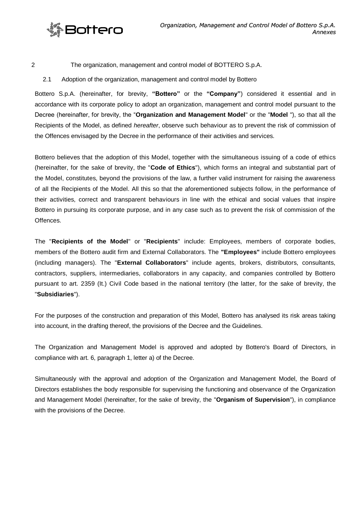

<span id="page-10-0"></span>2 The organization, management and control model of BOTTERO S.p.A.

<span id="page-10-1"></span>2.1 Adoption of the organization, management and control model by Bottero

Bottero S.p.A. (hereinafter, for brevity, **"Bottero"** or the **"Company"**) considered it essential and in accordance with its corporate policy to adopt an organization, management and control model pursuant to the Decree (hereinafter, for brevity, the "**Organization and Management Model**" or the "**Model** "), so that all the Recipients of the Model, as defined *hereafter*, observe such behaviour as to prevent the risk of commission of the Offences envisaged by the Decree in the performance of their activities and services.

Bottero believes that the adoption of this Model, together with the simultaneous issuing of a code of ethics (hereinafter, for the sake of brevity, the "**Code of Ethics**"), which forms an integral and substantial part of the Model, constitutes, beyond the provisions of the law, a further valid instrument for raising the awareness of all the Recipients of the Model. All this so that the aforementioned subjects follow, in the performance of their activities, correct and transparent behaviours in line with the ethical and social values that inspire Bottero in pursuing its corporate purpose, and in any case such as to prevent the risk of commission of the Offences.

The "**Recipients of the Model**" or "**Recipients**" include: Employees, members of corporate bodies, members of the Bottero audit firm and External Collaborators. The **"Employees"** include Bottero employees (including managers). The "**External Collaborators**" include agents, brokers, distributors, consultants, contractors, suppliers, intermediaries, collaborators in any capacity, and companies controlled by Bottero pursuant to art. 2359 (It.) Civil Code based in the national territory (the latter, for the sake of brevity, the "**Subsidiaries**").

For the purposes of the construction and preparation of this Model, Bottero has analysed its risk areas taking into account, in the drafting thereof, the provisions of the Decree and the Guidelines.

The Organization and Management Model is approved and adopted by Bottero's Board of Directors, in compliance with art. 6, paragraph 1, letter a) of the Decree.

Simultaneously with the approval and adoption of the Organization and Management Model, the Board of Directors establishes the body responsible for supervising the functioning and observance of the Organization and Management Model (hereinafter, for the sake of brevity, the "**Organism of Supervision**"), in compliance with the provisions of the Decree.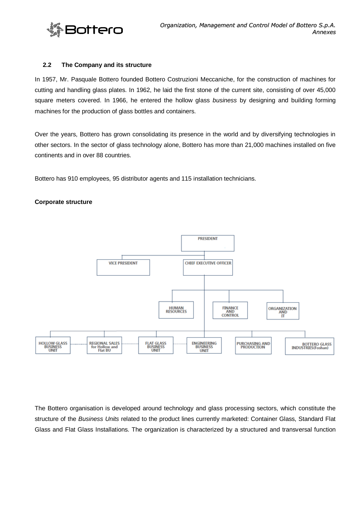

#### <span id="page-11-0"></span>**2.2 The Company and its structure**

In 1957, Mr. Pasquale Bottero founded Bottero Costruzioni Meccaniche, for the construction of machines for cutting and handling glass plates. In 1962, he laid the first stone of the current site, consisting of over 45,000 square meters covered. In 1966, he entered the hollow glass *business* by designing and building forming machines for the production of glass bottles and containers.

Over the years, Bottero has grown consolidating its presence in the world and by diversifying technologies in other sectors. In the sector of glass technology alone, Bottero has more than 21,000 machines installed on five continents and in over 88 countries.

Bottero has 910 employees, 95 distributor agents and 115 installation technicians.

#### **Corporate structure**



The Bottero organisation is developed around technology and glass processing sectors, which constitute the structure of the *Business Units* related to the product lines currently marketed: Container Glass, Standard Flat Glass and Flat Glass Installations. The organization is characterized by a structured and transversal function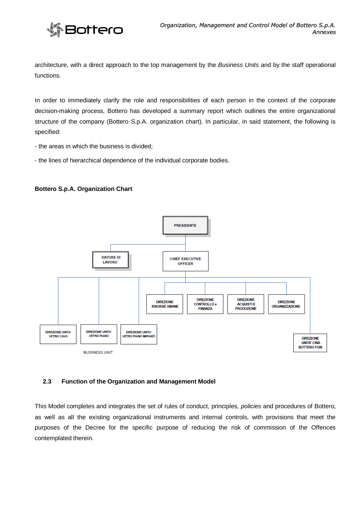

architecture, with a direct approach to the top management by the *Business Units* and by the staff operational functions.

In order to immediately clarify the role and responsibilities of each person in the context of the corporate decision-making process, Bottero has developed a summary report which outlines the entire organizational structure of the company (Bottero S.p.A. organization chart). In particular, in said statement, the following is specified:

- the areas in which the business is divided;

- the lines of hierarchical dependence of the individual corporate bodies.

#### **Bottero S.p.A. Organization Chart**



# <span id="page-12-0"></span>**2.3 Function of the Organization and Management Model**

This Model completes and integrates the set of rules of conduct, principles, *policies* and procedures of Bottero, as well as all the existing organizational instruments and internal controls, with provisions that meet the purposes of the Decree for the specific purpose of reducing the risk of commission of the Offences contemplated therein.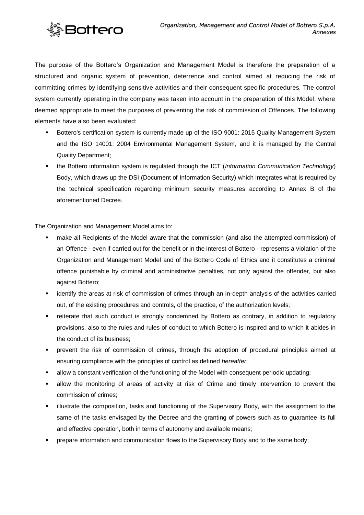

The purpose of the Bottero's Organization and Management Model is therefore the preparation of a structured and organic system of prevention, deterrence and control aimed at reducing the risk of committing crimes by identifying sensitive activities and their consequent specific procedures. The control system currently operating in the company was taken into account in the preparation of this Model, where deemed appropriate to meet the purposes of preventing the risk of commission of Offences. The following elements have also been evaluated:

- Bottero's certification system is currently made up of the ISO 9001: 2015 Quality Management System and the ISO 14001: 2004 Environmental Management System, and it is managed by the Central Quality Department;
- the Bottero information system is regulated through the ICT (*Information Communication Technology*) Body, which draws up the DSI (Document of Information Security) which integrates what is required by the technical specification regarding minimum security measures according to Annex B of the aforementioned Decree.

The Organization and Management Model aims to:

- make all Recipients of the Model aware that the commission (and also the attempted commission) of an Offence - even if carried out for the benefit or in the interest of Bottero - represents a violation of the Organization and Management Model and of the Bottero Code of Ethics and it constitutes a criminal offence punishable by criminal and administrative penalties, not only against the offender, but also against Bottero;
- identify the areas at risk of commission of crimes through an in-depth analysis of the activities carried out, of the existing procedures and controls, of the practice, of the authorization levels;
- reiterate that such conduct is strongly condemned by Bottero as contrary, in addition to regulatory provisions, also to the rules and rules of conduct to which Bottero is inspired and to which it abides in the conduct of its business;
- prevent the risk of commission of crimes, through the adoption of procedural principles aimed at ensuring compliance with the principles of control as defined *hereafter*;
- allow a constant verification of the functioning of the Model with consequent periodic updating;
- allow the monitoring of areas of activity at risk of Crime and timely intervention to prevent the commission of crimes;
- **EXED** illustrate the composition, tasks and functioning of the Supervisory Body, with the assignment to the same of the tasks envisaged by the Decree and the granting of powers such as to guarantee its full and effective operation, both in terms of autonomy and available means;
- prepare information and communication flows to the Supervisory Body and to the same body;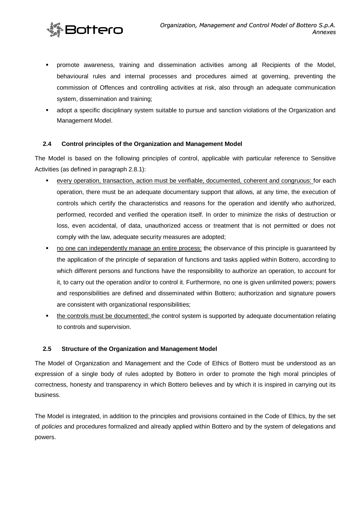

- promote awareness, training and dissemination activities among all Recipients of the Model, behavioural rules and internal processes and procedures aimed at governing, preventing the commission of Offences and controlling activities at risk, also through an adequate communication system, dissemination and training;
- adopt a specific disciplinary system suitable to pursue and sanction violations of the Organization and Management Model.

# <span id="page-14-0"></span>**2.4 Control principles of the Organization and Management Model**

The Model is based on the following principles of control, applicable with particular reference to Sensitive Activities (as defined in paragraph 2.8.1):

- every operation, transaction, action must be verifiable, documented, coherent and congruous: for each operation, there must be an adequate documentary support that allows, at any time, the execution of controls which certify the characteristics and reasons for the operation and identify who authorized, performed, recorded and verified the operation itself. In order to minimize the risks of destruction or loss, even accidental, of data, unauthorized access or treatment that is not permitted or does not comply with the law, adequate security measures are adopted;
- no one can independently manage an entire process: the observance of this principle is guaranteed by the application of the principle of separation of functions and tasks applied within Bottero, according to which different persons and functions have the responsibility to authorize an operation, to account for it, to carry out the operation and/or to control it. Furthermore, no one is given unlimited powers; powers and responsibilities are defined and disseminated within Bottero; authorization and signature powers are consistent with organizational responsibilities;
- the controls must be documented: the control system is supported by adequate documentation relating to controls and supervision.

# <span id="page-14-1"></span>**2.5 Structure of the Organization and Management Model**

The Model of Organization and Management and the Code of Ethics of Bottero must be understood as an expression of a single body of rules adopted by Bottero in order to promote the high moral principles of correctness, honesty and transparency in which Bottero believes and by which it is inspired in carrying out its business.

The Model is integrated, in addition to the principles and provisions contained in the Code of Ethics, by the set of *policies* and procedures formalized and already applied within Bottero and by the system of delegations and powers.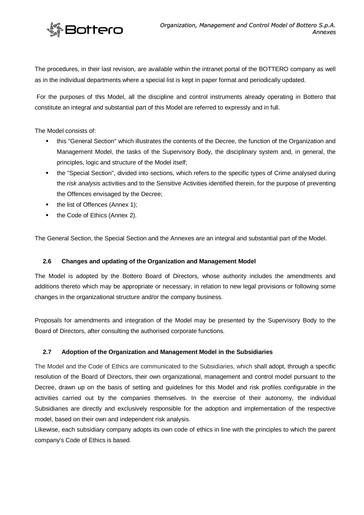

The procedures, in their last revision, are available within the intranet portal of the BOTTERO company as well as in the individual departments where a special list is kept in paper format and periodically updated.

For the purposes of this Model, all the discipline and control instruments already operating in Bottero that constitute an integral and substantial part of this Model are referred to expressly and in full.

The Model consists of:

- this "General Section" which illustrates the contents of the Decree, the function of the Organization and Management Model, the tasks of the Supervisory Body, the disciplinary system and, in general, the principles, logic and structure of the Model itself;
- the "Special Section", divided into sections, which refers to the specific types of Crime analysed during the *risk analysis* activities and to the Sensitive Activities identified therein, for the purpose of preventing the Offences envisaged by the Decree;
- the list of Offences (Annex 1);
- the Code of Ethics (Annex 2).

The General Section, the Special Section and the Annexes are an integral and substantial part of the Model.

# <span id="page-15-0"></span>**2.6 Changes and updating of the Organization and Management Model**

The Model is adopted by the Bottero Board of Directors, whose authority includes the amendments and additions thereto which may be appropriate or necessary, in relation to new legal provisions or following some changes in the organizational structure and/or the company business.

Proposals for amendments and integration of the Model may be presented by the Supervisory Body to the Board of Directors, after consulting the authorised corporate functions.

# <span id="page-15-1"></span>**2.7 Adoption of the Organization and Management Model in the Subsidiaries**

The Model and the Code of Ethics are communicated to the Subsidiaries, which shall adopt, through a specific resolution of the Board of Directors, their own organizational, management and control model pursuant to the Decree, drawn up on the basis of setting and guidelines for this Model and risk profiles configurable in the activities carried out by the companies themselves. In the exercise of their autonomy, the individual Subsidiaries are directly and exclusively responsible for the adoption and implementation of the respective model, based on their own and independent risk analysis.

Likewise, each subsidiary company adopts its own code of ethics in line with the principles to which the parent company's Code of Ethics is based.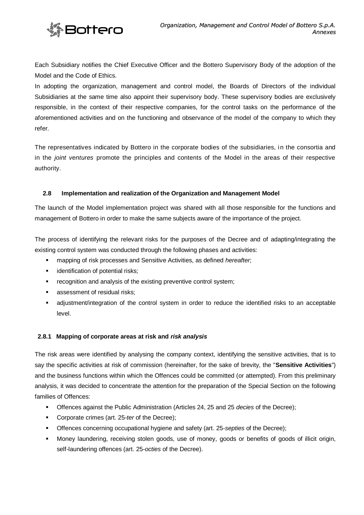

Each Subsidiary notifies the Chief Executive Officer and the Bottero Supervisory Body of the adoption of the Model and the Code of Ethics.

In adopting the organization, management and control model, the Boards of Directors of the individual Subsidiaries at the same time also appoint their supervisory body. These supervisory bodies are exclusively responsible, in the context of their respective companies, for the control tasks on the performance of the aforementioned activities and on the functioning and observance of the model of the company to which they refer.

The representatives indicated by Bottero in the corporate bodies of the subsidiaries, in the consortia and in the *joint ventures* promote the principles and contents of the Model in the areas of their respective authority.

# <span id="page-16-0"></span>**2.8 Implementation and realization of the Organization and Management Model**

The launch of the Model implementation project was shared with all those responsible for the functions and management of Bottero in order to make the same subjects aware of the importance of the project.

The process of identifying the relevant risks for the purposes of the Decree and of adapting/integrating the existing control system was conducted through the following phases and activities:

- mapping of risk processes and Sensitive Activities, as defined *hereafter*;
- **identification of potential risks;**
- recognition and analysis of the existing preventive control system;
- **assessment of residual risks:**
- adjustment/integration of the control system in order to reduce the identified risks to an acceptable level.

# <span id="page-16-1"></span>**2.8.1 Mapping of corporate areas at risk and** *risk analysis*

The risk areas were identified by analysing the company context, identifying the sensitive activities, that is to say the specific activities at risk of commission (hereinafter, for the sake of brevity, the "**Sensitive Activities**") and the business functions within which the Offences could be committed (or attempted). From this preliminary analysis, it was decided to concentrate the attention for the preparation of the Special Section on the following families of Offences:

- Offences against the Public Administration (Articles 24, 25 and 25 *decies* of the Decree);
- Corporate crimes (art. 25-*ter* of the Decree);
- Offences concerning occupational hygiene and safety (art. 25-*septies* of the Decree);
- Money laundering, receiving stolen goods, use of money, goods or benefits of goods of illicit origin, self-laundering offences (art. 25-*octies* of the Decree).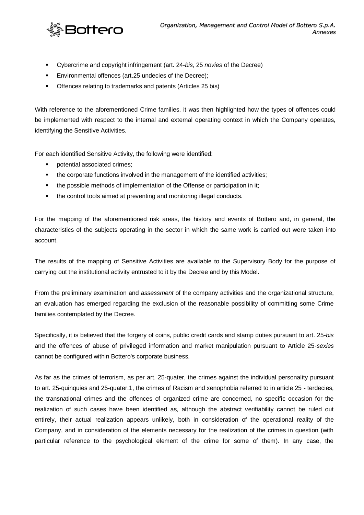

- Cybercrime and copyright infringement (art. 24-*bis*, 25 *novies* of the Decree)
- Environmental offences (art.25 undecies of the Decree);
- **•** Offences relating to trademarks and patents (Articles 25 bis)

With reference to the aforementioned Crime families, it was then highlighted how the types of offences could be implemented with respect to the internal and external operating context in which the Company operates, identifying the Sensitive Activities.

For each identified Sensitive Activity, the following were identified:

- **•** potential associated crimes;
- the corporate functions involved in the management of the identified activities;
- the possible methods of implementation of the Offense or participation in it;
- the control tools aimed at preventing and monitoring illegal conducts.

For the mapping of the aforementioned risk areas, the history and events of Bottero and, in general, the characteristics of the subjects operating in the sector in which the same work is carried out were taken into account.

The results of the mapping of Sensitive Activities are available to the Supervisory Body for the purpose of carrying out the institutional activity entrusted to it by the Decree and by this Model.

From the preliminary examination and *assessment* of the company activities and the organizational structure, an evaluation has emerged regarding the exclusion of the reasonable possibility of committing some Crime families contemplated by the Decree.

Specifically, it is believed that the forgery of coins, public credit cards and stamp duties pursuant to art. 25-*bis* and the offences of abuse of privileged information and market manipulation pursuant to Article 25-*sexies*  cannot be configured within Bottero's corporate business.

As far as the crimes of terrorism, as per art. 25-quater, the crimes against the individual personality pursuant to art. 25-quinquies and 25-quater.1, the crimes of Racism and xenophobia referred to in article 25 - terdecies, the transnational crimes and the offences of organized crime are concerned, no specific occasion for the realization of such cases have been identified as, although the abstract verifiability cannot be ruled out entirely, their actual realization appears unlikely, both in consideration of the operational reality of the Company, and in consideration of the elements necessary for the realization of the crimes in question (with particular reference to the psychological element of the crime for some of them). In any case, the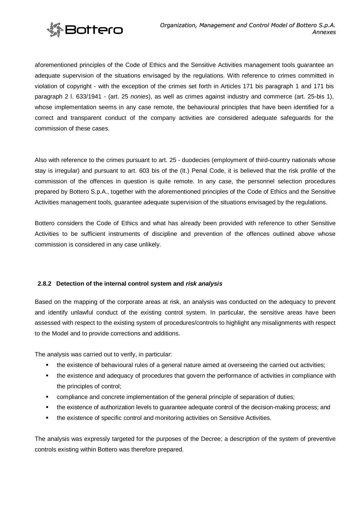

aforementioned principles of the Code of Ethics and the Sensitive Activities management tools guarantee an adequate supervision of the situations envisaged by the regulations. With reference to crimes committed in violation of copyright - with the exception of the crimes set forth in Articles 171 bis paragraph 1 and 171 bis paragraph 2 l. 633/1941 - (art. 25 *nonies*), as well as crimes against industry and commerce (art. 25-bis 1), whose implementation seems in any case remote, the behavioural principles that have been identified for a correct and transparent conduct of the company activities are considered adequate safeguards for the commission of these cases.

Also with reference to the crimes pursuant to art. 25 - duodecies (employment of third-country nationals whose stay is irregular) and pursuant to art. 603 bis of the (It.) Penal Code, it is believed that the risk profile of the commission of the offences in question is quite remote. In any case, the personnel selection procedures prepared by Bottero S.p.A., together with the aforementioned principles of the Code of Ethics and the Sensitive Activities management tools, guarantee adequate supervision of the situations envisaged by the regulations.

Bottero considers the Code of Ethics and what has already been provided with reference to other Sensitive Activities to be sufficient instruments of discipline and prevention of the offences outlined above whose commission is considered in any case unlikely.

# <span id="page-18-0"></span>**2.8.2 Detection of the internal control system and** *risk analysis*

Based on the mapping of the corporate areas at risk, an analysis was conducted on the adequacy to prevent and identify unlawful conduct of the existing control system. In particular, the sensitive areas have been assessed with respect to the existing system of procedures/controls to highlight any misalignments with respect to the Model and to provide corrections and additions.

The analysis was carried out to verify, in particular:

- the existence of behavioural rules of a general nature aimed at overseeing the carried out activities;
- the existence and adequacy of procedures that govern the performance of activities in compliance with the principles of control;
- compliance and concrete implementation of the general principle of separation of duties;
- the existence of authorization levels to guarantee adequate control of the decision-making process; and
- the existence of specific control and monitoring activities on Sensitive Activities.

The analysis was expressly targeted for the purposes of the Decree; a description of the system of preventive controls existing within Bottero was therefore prepared.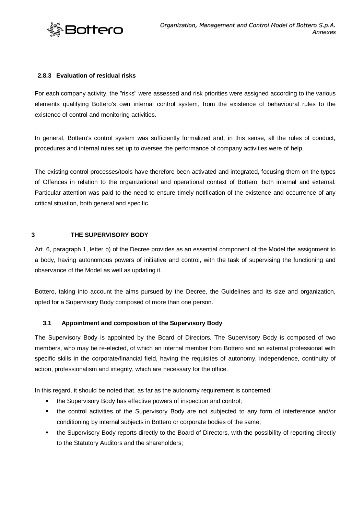

# <span id="page-19-0"></span>**2.8.3 Evaluation of residual risks**

For each company activity, the "risks" were assessed and risk priorities were assigned according to the various elements qualifying Bottero's own internal control system, from the existence of behavioural rules to the existence of control and monitoring activities.

In general, Bottero's control system was sufficiently formalized and, in this sense, all the rules of conduct, procedures and internal rules set up to oversee the performance of company activities were of help.

The existing control processes/tools have therefore been activated and integrated, focusing them on the types of Offences in relation to the organizational and operational context of Bottero, both internal and external. Particular attention was paid to the need to ensure timely notification of the existence and occurrence of any critical situation, both general and specific.

#### <span id="page-19-1"></span>**3 THE SUPERVISORY BODY**

Art. 6, paragraph 1, letter b) of the Decree provides as an essential component of the Model the assignment to a body, having autonomous powers of initiative and control, with the task of supervising the functioning and observance of the Model as well as updating it.

Bottero, taking into account the aims pursued by the Decree, the Guidelines and its size and organization, opted for a Supervisory Body composed of more than one person.

# <span id="page-19-2"></span>**3.1 Appointment and composition of the Supervisory Body**

The Supervisory Body is appointed by the Board of Directors. The Supervisory Body is composed of two members, who may be re-elected, of which an internal member from Bottero and an external professional with specific skills in the corporate/financial field, having the requisites of autonomy, independence, continuity of action, professionalism and integrity, which are necessary for the office.

In this regard, it should be noted that, as far as the autonomy requirement is concerned:

- the Supervisory Body has effective powers of inspection and control;
- the control activities of the Supervisory Body are not subjected to any form of interference and/or conditioning by internal subjects in Bottero or corporate bodies of the same;
- the Supervisory Body reports directly to the Board of Directors, with the possibility of reporting directly to the Statutory Auditors and the shareholders;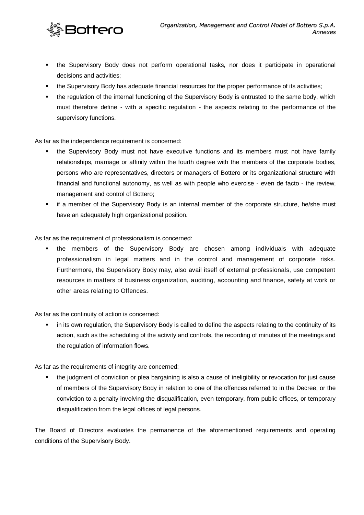

- the Supervisory Body does not perform operational tasks, nor does it participate in operational decisions and activities;
- the Supervisory Body has adequate financial resources for the proper performance of its activities;
- the regulation of the internal functioning of the Supervisory Body is entrusted to the same body, which must therefore define - with a specific regulation - the aspects relating to the performance of the supervisory functions.

As far as the independence requirement is concerned:

- **the Supervisory Body must not have executive functions and its members must not have family** relationships, marriage or affinity within the fourth degree with the members of the corporate bodies, persons who are representatives, directors or managers of Bottero or its organizational structure with financial and functional autonomy, as well as with people who exercise - even de facto - the review, management and control of Bottero;
- if a member of the Supervisory Body is an internal member of the corporate structure, he/she must have an adequately high organizational position.

As far as the requirement of professionalism is concerned:

 the members of the Supervisory Body are chosen among individuals with adequate professionalism in legal matters and in the control and management of corporate risks. Furthermore, the Supervisory Body may, also avail itself of external professionals, use competent resources in matters of business organization, auditing, accounting and finance, safety at work or other areas relating to Offences.

As far as the continuity of action is concerned:

 in its own regulation, the Supervisory Body is called to define the aspects relating to the continuity of its action, such as the scheduling of the activity and controls, the recording of minutes of the meetings and the regulation of information flows.

As far as the requirements of integrity are concerned:

 the judgment of conviction or plea bargaining is also a cause of ineligibility or revocation for just cause of members of the Supervisory Body in relation to one of the offences referred to in the Decree, or the conviction to a penalty involving the disqualification, even temporary, from public offices, or temporary disqualification from the legal offices of legal persons.

The Board of Directors evaluates the permanence of the aforementioned requirements and operating conditions of the Supervisory Body.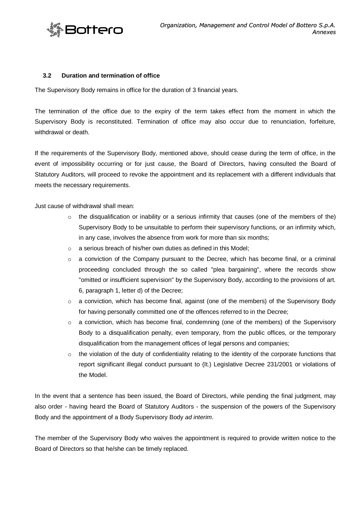

#### <span id="page-21-0"></span>**3.2 Duration and termination of office**

The Supervisory Body remains in office for the duration of 3 financial years.

The termination of the office due to the expiry of the term takes effect from the moment in which the Supervisory Body is reconstituted. Termination of office may also occur due to renunciation, forfeiture, withdrawal or death.

If the requirements of the Supervisory Body, mentioned above, should cease during the term of office, in the event of impossibility occurring or for just cause, the Board of Directors, having consulted the Board of Statutory Auditors, will proceed to revoke the appointment and its replacement with a different individuals that meets the necessary requirements.

Just cause of withdrawal shall mean:

- $\circ$  the disqualification or inability or a serious infirmity that causes (one of the members of the) Supervisory Body to be unsuitable to perform their supervisory functions, or an infirmity which, in any case, involves the absence from work for more than six months;
- o a serious breach of his/her own duties as defined in this Model;
- $\circ$  a conviction of the Company pursuant to the Decree, which has become final, or a criminal proceeding concluded through the so called "plea bargaining", where the records show "omitted or insufficient supervision" by the Supervisory Body, according to the provisions of art. 6, paragraph 1, letter d) of the Decree;
- $\circ$  a conviction, which has become final, against (one of the members) of the Supervisory Body for having personally committed one of the offences referred to in the Decree;
- a conviction, which has become final, condemning (one of the members) of the Supervisory Body to a disqualification penalty, even temporary, from the public offices, or the temporary disqualification from the management offices of legal persons and companies;
- $\circ$  the violation of the duty of confidentiality relating to the identity of the corporate functions that report significant illegal conduct pursuant to (It.) Legislative Decree 231/2001 or violations of the Model.

In the event that a sentence has been issued, the Board of Directors, while pending the final judgment, may also order - having heard the Board of Statutory Auditors - the suspension of the powers of the Supervisory Body and the appointment of a Body Supervisory Body *ad interim*.

The member of the Supervisory Body who waives the appointment is required to provide written notice to the Board of Directors so that he/she can be timely replaced.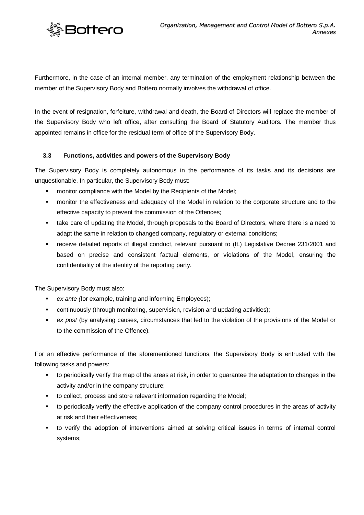

Furthermore, in the case of an internal member, any termination of the employment relationship between the member of the Supervisory Body and Bottero normally involves the withdrawal of office.

In the event of resignation, forfeiture, withdrawal and death, the Board of Directors will replace the member of the Supervisory Body who left office, after consulting the Board of Statutory Auditors. The member thus appointed remains in office for the residual term of office of the Supervisory Body.

# <span id="page-22-0"></span>**3.3 Functions, activities and powers of the Supervisory Body**

The Supervisory Body is completely autonomous in the performance of its tasks and its decisions are unquestionable. In particular, the Supervisory Body must:

- **EXECT** monitor compliance with the Model by the Recipients of the Model;
- monitor the effectiveness and adequacy of the Model in relation to the corporate structure and to the effective capacity to prevent the commission of the Offences;
- take care of updating the Model, through proposals to the Board of Directors, where there is a need to adapt the same in relation to changed company, regulatory or external conditions;
- receive detailed reports of illegal conduct, relevant pursuant to (It.) Legislative Decree 231/2001 and based on precise and consistent factual elements, or violations of the Model, ensuring the confidentiality of the identity of the reporting party.

The Supervisory Body must also:

- *ex ante (*for example, training and informing Employees);
- continuously (through monitoring, supervision, revision and updating activities);
- **ex post (by analysing causes, circumstances that led to the violation of the provisions of the Model or** to the commission of the Offence).

For an effective performance of the aforementioned functions, the Supervisory Body is entrusted with the following tasks and powers:

- to periodically verify the map of the areas at risk, in order to guarantee the adaptation to changes in the activity and/or in the company structure;
- to collect, process and store relevant information regarding the Model;
- to periodically verify the effective application of the company control procedures in the areas of activity at risk and their effectiveness;
- to verify the adoption of interventions aimed at solving critical issues in terms of internal control systems;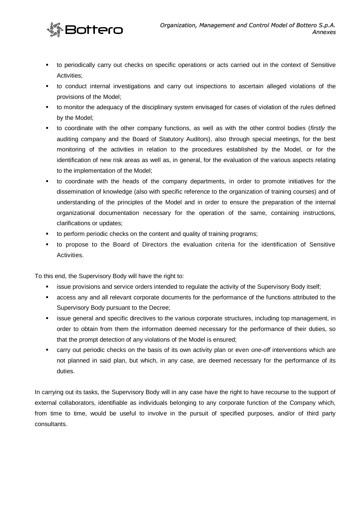

- to periodically carry out checks on specific operations or acts carried out in the context of Sensitive Activities;
- to conduct internal investigations and carry out inspections to ascertain alleged violations of the provisions of the Model;
- **the monitior the adequacy of the disciplinary system envisaged for cases of violation of the rules defined** by the Model;
- to coordinate with the other company functions, as well as with the other control bodies (*firstly* the auditing company and the Board of Statutory Auditors), also through special meetings, for the best monitoring of the activities in relation to the procedures established by the Model, or for the identification of new risk areas as well as, in general, for the evaluation of the various aspects relating to the implementation of the Model;
- to coordinate with the heads of the company departments, in order to promote initiatives for the dissemination of knowledge (also with specific reference to the organization of training courses) and of understanding of the principles of the Model and in order to ensure the preparation of the internal organizational documentation necessary for the operation of the same, containing instructions, clarifications or updates;
- **to perform periodic checks on the content and quality of training programs;**
- to propose to the Board of Directors the evaluation criteria for the identification of Sensitive Activities.

To this end, the Supervisory Body will have the right to:

- **EXECT** issue provisions and service orders intended to regulate the activity of the Supervisory Body itself;
- access any and all relevant corporate documents for the performance of the functions attributed to the Supervisory Body pursuant to the Decree;
- issue general and specific directives to the various corporate structures, including top management, in order to obtain from them the information deemed necessary for the performance of their duties, so that the prompt detection of any violations of the Model is ensured;
- carry out periodic checks on the basis of its own activity plan or even *one-off* interventions which are not planned in said plan, but which, in any case, are deemed necessary for the performance of its duties.

In carrying out its tasks, the Supervisory Body will in any case have the right to have recourse to the support of external collaborators, identifiable as individuals belonging to any corporate function of the Company which, from time to time, would be useful to involve in the pursuit of specified purposes, and/or of third party consultants.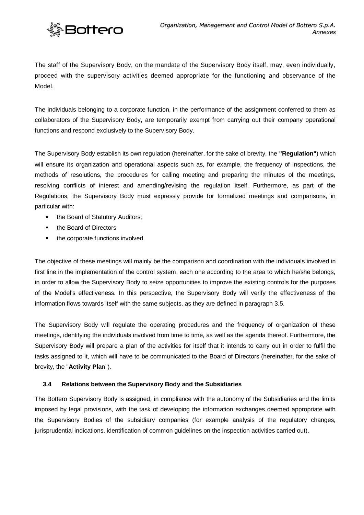

The staff of the Supervisory Body, on the mandate of the Supervisory Body itself, may, even individually, proceed with the supervisory activities deemed appropriate for the functioning and observance of the Model.

The individuals belonging to a corporate function, in the performance of the assignment conferred to them as collaborators of the Supervisory Body, are temporarily exempt from carrying out their company operational functions and respond exclusively to the Supervisory Body.

The Supervisory Body establish its own regulation (hereinafter, for the sake of brevity, the **"Regulation"**) which will ensure its organization and operational aspects such as, for example, the frequency of inspections, the methods of resolutions, the procedures for calling meeting and preparing the minutes of the meetings, resolving conflicts of interest and amending/revising the regulation itself. Furthermore, as part of the Regulations, the Supervisory Body must expressly provide for formalized meetings and comparisons, in particular with:

- the Board of Statutory Auditors;
- the Board of Directors
- the corporate functions involved

The objective of these meetings will mainly be the comparison and coordination with the individuals involved in first line in the implementation of the control system, each one according to the area to which he/she belongs, in order to allow the Supervisory Body to seize opportunities to improve the existing controls for the purposes of the Model's effectiveness. In this perspective, the Supervisory Body will verify the effectiveness of the information flows towards itself with the same subjects, as they are defined in paragraph 3.5.

The Supervisory Body will regulate the operating procedures and the frequency of organization of these meetings, identifying the individuals involved from time to time, as well as the agenda thereof. Furthermore, the Supervisory Body will prepare a plan of the activities for itself that it intends to carry out in order to fulfil the tasks assigned to it, which will have to be communicated to the Board of Directors (hereinafter, for the sake of brevity, the "**Activity Plan**").

# <span id="page-24-0"></span>**3.4 Relations between the Supervisory Body and the Subsidiaries**

The Bottero Supervisory Body is assigned, in compliance with the autonomy of the Subsidiaries and the limits imposed by legal provisions, with the task of developing the information exchanges deemed appropriate with the Supervisory Bodies of the subsidiary companies (for example analysis of the regulatory changes, jurisprudential indications, identification of common guidelines on the inspection activities carried out).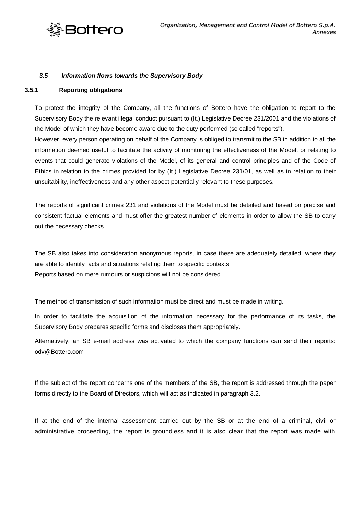

#### <span id="page-25-1"></span><span id="page-25-0"></span>*3.5 Information flows towards the Supervisory Body*

#### **3.5.1 Reporting obligations**

To protect the integrity of the Company, all the functions of Bottero have the obligation to report to the Supervisory Body the relevant illegal conduct pursuant to (It.) Legislative Decree 231/2001 and the violations of the Model of which they have become aware due to the duty performed (so called "reports").

However, every person operating on behalf of the Company is obliged to transmit to the SB in addition to all the information deemed useful to facilitate the activity of monitoring the effectiveness of the Model, or relating to events that could generate violations of the Model, of its general and control principles and of the Code of Ethics in relation to the crimes provided for by (It.) Legislative Decree 231/01, as well as in relation to their unsuitability, ineffectiveness and any other aspect potentially relevant to these purposes.

The reports of significant crimes 231 and violations of the Model must be detailed and based on precise and consistent factual elements and must offer the greatest number of elements in order to allow the SB to carry out the necessary checks.

The SB also takes into consideration anonymous reports, in case these are adequately detailed, where they are able to identify facts and situations relating them to specific contexts. Reports based on mere rumours or suspicions will not be considered.

The method of transmission of such information must be direct and must be made in writing.

In order to facilitate the acquisition of the information necessary for the performance of its tasks, the Supervisory Body prepares specific forms and discloses them appropriately.

Alternatively, an SB e-mail address was activated to which the company functions can send their reports: [odv@Bottero.com](mailto:odv@Bottero.com)

If the subject of the report concerns one of the members of the SB, the report is addressed through the paper forms directly to the Board of Directors, which will act as indicated in paragraph 3.2.

If at the end of the internal assessment carried out by the SB or at the end of a criminal, civil or administrative proceeding, the report is groundless and it is also clear that the report was made with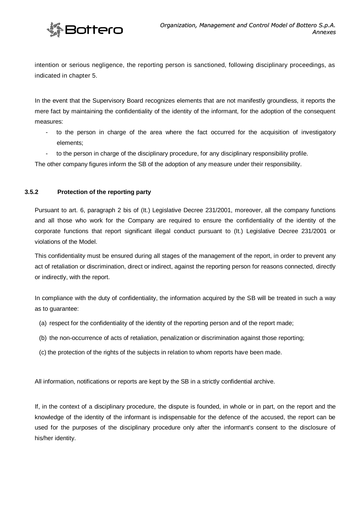

intention or serious negligence, the reporting person is sanctioned, following disciplinary proceedings, as indicated in chapter 5.

In the event that the Supervisory Board recognizes elements that are not manifestly groundless, it reports the mere fact by maintaining the confidentiality of the identity of the informant, for the adoption of the consequent measures:

- to the person in charge of the area where the fact occurred for the acquisition of investigatory elements;
- to the person in charge of the disciplinary procedure, for any disciplinary responsibility profile.

The other company figures inform the SB of the adoption of any measure under their responsibility.

# <span id="page-26-0"></span>**3.5.2 Protection of the reporting party**

Pursuant to art. 6, paragraph 2 bis of (It.) Legislative Decree 231/2001, moreover, all the company functions and all those who work for the Company are required to ensure the confidentiality of the identity of the corporate functions that report significant illegal conduct pursuant to (It.) Legislative Decree 231/2001 or violations of the Model.

This confidentiality must be ensured during all stages of the management of the report, in order to prevent any act of retaliation or discrimination, direct or indirect, against the reporting person for reasons connected, directly or indirectly, with the report.

In compliance with the duty of confidentiality, the information acquired by the SB will be treated in such a way as to guarantee:

- (a) respect for the confidentiality of the identity of the reporting person and of the report made;
- (b) the non-occurrence of acts of retaliation, penalization or discrimination against those reporting;
- (c) the protection of the rights of the subjects in relation to whom reports have been made.

All information, notifications or reports are kept by the SB in a strictly confidential archive.

If, in the context of a disciplinary procedure, the dispute is founded, in whole or in part, on the report and the knowledge of the identity of the informant is indispensable for the defence of the accused, the report can be used for the purposes of the disciplinary procedure only after the informant's consent to the disclosure of his/her identity.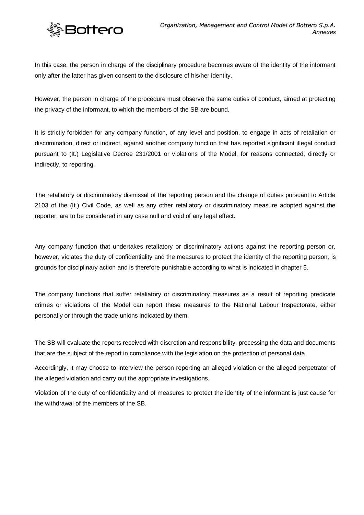

In this case, the person in charge of the disciplinary procedure becomes aware of the identity of the informant only after the latter has given consent to the disclosure of his/her identity.

However, the person in charge of the procedure must observe the same duties of conduct, aimed at protecting the privacy of the informant, to which the members of the SB are bound.

It is strictly forbidden for any company function, of any level and position, to engage in acts of retaliation or discrimination, direct or indirect, against another company function that has reported significant illegal conduct pursuant to (It.) Legislative Decree 231/2001 or violations of the Model, for reasons connected, directly or indirectly, to reporting.

The retaliatory or discriminatory dismissal of the reporting person and the change of duties pursuant to Article 2103 of the (It.) Civil Code, as well as any other retaliatory or discriminatory measure adopted against the reporter, are to be considered in any case null and void of any legal effect.

Any company function that undertakes retaliatory or discriminatory actions against the reporting person or, however, violates the duty of confidentiality and the measures to protect the identity of the reporting person, is grounds for disciplinary action and is therefore punishable according to what is indicated in chapter 5.

The company functions that suffer retaliatory or discriminatory measures as a result of reporting predicate crimes or violations of the Model can report these measures to the National Labour Inspectorate, either personally or through the trade unions indicated by them.

The SB will evaluate the reports received with discretion and responsibility, processing the data and documents that are the subject of the report in compliance with the legislation on the protection of personal data.

Accordingly, it may choose to interview the person reporting an alleged violation or the alleged perpetrator of the alleged violation and carry out the appropriate investigations.

Violation of the duty of confidentiality and of measures to protect the identity of the informant is just cause for the withdrawal of the members of the SB.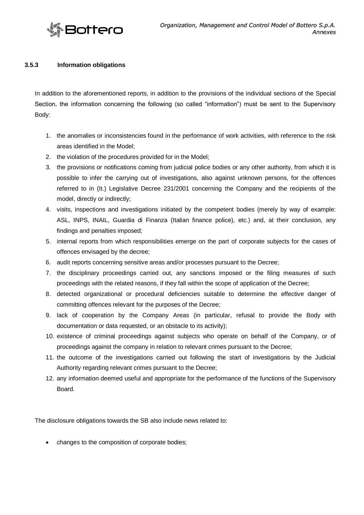

# <span id="page-28-0"></span>**3.5.3 Information obligations**

In addition to the aforementioned reports, in addition to the provisions of the individual sections of the Special Section, the information concerning the following (so called "information") must be sent to the Supervisory Body:

- 1. the anomalies or inconsistencies found in the performance of work activities, with reference to the risk areas identified in the Model;
- 2. the violation of the procedures provided for in the Model;
- 3. the provisions or notifications coming from judicial police bodies or any other authority, from which it is possible to infer the carrying out of investigations, also against unknown persons, for the offences referred to in (It.) Legislative Decree 231/2001 concerning the Company and the recipients of the model, directly or indirectly;
- 4. visits, inspections and investigations initiated by the competent bodies (merely by way of example: ASL, INPS, INAIL, Guardia di Finanza (Italian finance police), etc.) and, at their conclusion, any findings and penalties imposed;
- 5. internal reports from which responsibilities emerge on the part of corporate subjects for the cases of offences envisaged by the decree;
- 6. audit reports concerning sensitive areas and/or processes pursuant to the Decree;
- 7. the disciplinary proceedings carried out, any sanctions imposed or the filing measures of such proceedings with the related reasons, if they fall within the scope of application of the Decree;
- 8. detected organizational or procedural deficiencies suitable to determine the effective danger of committing offences relevant for the purposes of the Decree;
- 9. lack of cooperation by the Company Areas (in particular, refusal to provide the Body with documentation or data requested, or an obstacle to its activity);
- 10. existence of criminal proceedings against subjects who operate on behalf of the Company, or of proceedings against the company in relation to relevant crimes pursuant to the Decree;
- 11. the outcome of the investigations carried out following the start of investigations by the Judicial Authority regarding relevant crimes pursuant to the Decree;
- 12. any information deemed useful and appropriate for the performance of the functions of the Supervisory Board.

The disclosure obligations towards the SB also include news related to:

changes to the composition of corporate bodies;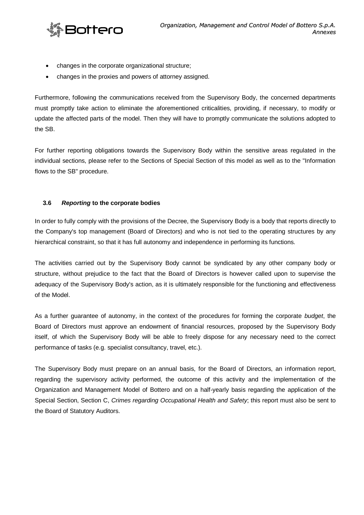

- changes in the corporate organizational structure;
- changes in the proxies and powers of attorney assigned.

Furthermore, following the communications received from the Supervisory Body, the concerned departments must promptly take action to eliminate the aforementioned criticalities, providing, if necessary, to modify or update the affected parts of the model. Then they will have to promptly communicate the solutions adopted to the SB.

For further reporting obligations towards the Supervisory Body within the sensitive areas regulated in the individual sections, please refer to the Sections of Special Section of this model as well as to the "Information flows to the SB" procedure.

# <span id="page-29-0"></span>**3.6** *Reporting* **to the corporate bodies**

In order to fully comply with the provisions of the Decree, the Supervisory Body is a body that reports directly to the Company's top management (Board of Directors) and who is not tied to the operating structures by any hierarchical constraint, so that it has full autonomy and independence in performing its functions.

The activities carried out by the Supervisory Body cannot be syndicated by any other company body or structure, without prejudice to the fact that the Board of Directors is however called upon to supervise the adequacy of the Supervisory Body's action, as it is ultimately responsible for the functioning and effectiveness of the Model.

As a further guarantee of autonomy, in the context of the procedures for forming the corporate *budget*, the Board of Directors must approve an endowment of financial resources, proposed by the Supervisory Body itself, of which the Supervisory Body will be able to freely dispose for any necessary need to the correct performance of tasks (e.g. specialist consultancy, travel, etc.).

The Supervisory Body must prepare on an annual basis, for the Board of Directors, an information report, regarding the supervisory activity performed, the outcome of this activity and the implementation of the Organization and Management Model of Bottero and on a half-yearly basis regarding the application of the Special Section, Section C, *Crimes regarding Occupational Health and Safety*; this report must also be sent to the Board of Statutory Auditors.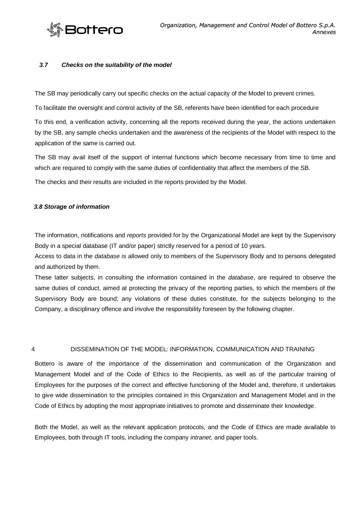

#### <span id="page-30-0"></span>*3.7 Checks on the suitability of the model*

The SB may periodically carry out specific checks on the actual capacity of the Model to prevent crimes.

To facilitate the oversight and control activity of the SB, referents have been identified for each procedure

To this end, a verification activity, concerning all the reports received during the year, the actions undertaken by the SB, any sample checks undertaken and the awareness of the recipients of the Model with respect to the application of the same is carried out.

The SB may avail itself of the support of internal functions which become necessary from time to time and which are required to comply with the same duties of confidentiality that affect the members of the SB.

The checks and their results are included in the reports provided by the Model.

#### <span id="page-30-1"></span>*3.8 Storage of information*

The information, notifications and *reports* provided for by the Organizational Model are kept by the Supervisory Body in a special database (IT and/or paper) strictly reserved for a period of 10 years.

Access to data in the *database* is allowed only to members of the Supervisory Body and to persons delegated and authorized by them.

These latter subjects, in consulting the information contained in the *database*, are required to observe the same duties of conduct, aimed at protecting the privacy of the reporting parties, to which the members of the Supervisory Body are bound; any violations of these duties constitute, for the subjects belonging to the Company, a disciplinary offence and involve the responsibility foreseen by the following chapter.

<span id="page-30-2"></span>4 DISSEMINATION OF THE MODEL: INFORMATION, COMMUNICATION AND TRAINING

Bottero is aware of the importance of the dissemination and communication of the Organization and Management Model and of the Code of Ethics to the Recipients, as well as of the particular training of Employees for the purposes of the correct and effective functioning of the Model and, therefore, it undertakes to give wide dissemination to the principles contained in this Organization and Management Model and in the Code of Ethics by adopting the most appropriate initiatives to promote and disseminate their knowledge.

Both the Model, as well as the relevant application protocols, and the Code of Ethics are made available to Employees, both through IT tools, including the company *intranet*, and paper tools.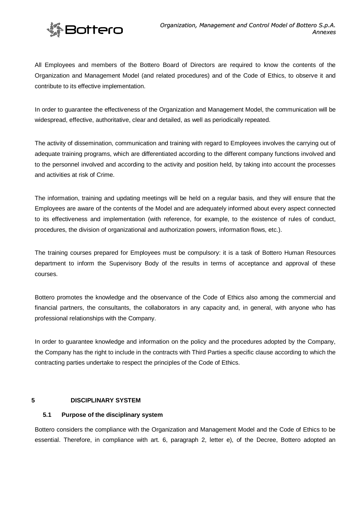

All Employees and members of the Bottero Board of Directors are required to know the contents of the Organization and Management Model (and related procedures) and of the Code of Ethics, to observe it and contribute to its effective implementation.

In order to guarantee the effectiveness of the Organization and Management Model, the communication will be widespread, effective, authoritative, clear and detailed, as well as periodically repeated.

The activity of dissemination, communication and training with regard to Employees involves the carrying out of adequate training programs, which are differentiated according to the different company functions involved and to the personnel involved and according to the activity and position held, by taking into account the processes and activities at risk of Crime.

The information, training and updating meetings will be held on a regular basis, and they will ensure that the Employees are aware of the contents of the Model and are adequately informed about every aspect connected to its effectiveness and implementation (with reference, for example, to the existence of rules of conduct, procedures, the division of organizational and authorization powers, information flows, etc.).

The training courses prepared for Employees must be compulsory: it is a task of Bottero Human Resources department to inform the Supervisory Body of the results in terms of acceptance and approval of these courses.

Bottero promotes the knowledge and the observance of the Code of Ethics also among the commercial and financial partners, the consultants, the collaborators in any capacity and, in general, with anyone who has professional relationships with the Company.

In order to guarantee knowledge and information on the policy and the procedures adopted by the Company, the Company has the right to include in the contracts with Third Parties a specific clause according to which the contracting parties undertake to respect the principles of the Code of Ethics.

# <span id="page-31-0"></span>**5 DISCIPLINARY SYSTEM**

#### <span id="page-31-1"></span>**5.1 Purpose of the disciplinary system**

Bottero considers the compliance with the Organization and Management Model and the Code of Ethics to be essential. Therefore, in compliance with art. 6, paragraph 2, letter e), of the Decree, Bottero adopted an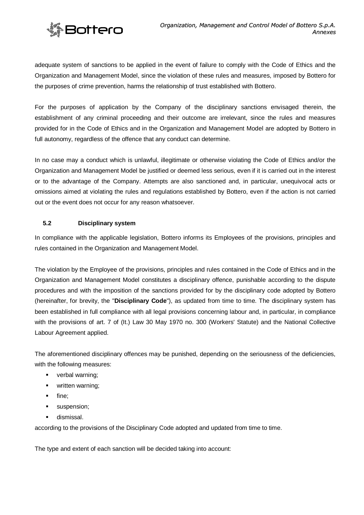

**Bottero** 

adequate system of sanctions to be applied in the event of failure to comply with the Code of Ethics and the Organization and Management Model, since the violation of these rules and measures, imposed by Bottero for the purposes of crime prevention, harms the relationship of trust established with Bottero.

For the purposes of application by the Company of the disciplinary sanctions envisaged therein, the establishment of any criminal proceeding and their outcome are irrelevant, since the rules and measures provided for in the Code of Ethics and in the Organization and Management Model are adopted by Bottero in full autonomy, regardless of the offence that any conduct can determine.

In no case may a conduct which is unlawful, illegitimate or otherwise violating the Code of Ethics and/or the Organization and Management Model be justified or deemed less serious, even if it is carried out in the interest or to the advantage of the Company. Attempts are also sanctioned and, in particular, unequivocal acts or omissions aimed at violating the rules and regulations established by Bottero, even if the action is not carried out or the event does not occur for any reason whatsoever.

# <span id="page-32-0"></span>**5.2 Disciplinary system**

In compliance with the applicable legislation, Bottero informs its Employees of the provisions, principles and rules contained in the Organization and Management Model.

The violation by the Employee of the provisions, principles and rules contained in the Code of Ethics and in the Organization and Management Model constitutes a disciplinary offence, punishable according to the dispute procedures and with the imposition of the sanctions provided for by the disciplinary code adopted by Bottero (hereinafter, for brevity, the "**Disciplinary Code**"), as updated from time to time. The disciplinary system has been established in full compliance with all legal provisions concerning labour and, in particular, in compliance with the provisions of art. 7 of (It.) Law 30 May 1970 no. 300 (Workers' Statute) and the National Collective Labour Agreement applied.

The aforementioned disciplinary offences may be punished, depending on the seriousness of the deficiencies, with the following measures:

- verbal warning:
- **•** written warning:
- $\blacksquare$  fine:
- suspension:
- **dismissal.**

according to the provisions of the Disciplinary Code adopted and updated from time to time.

The type and extent of each sanction will be decided taking into account: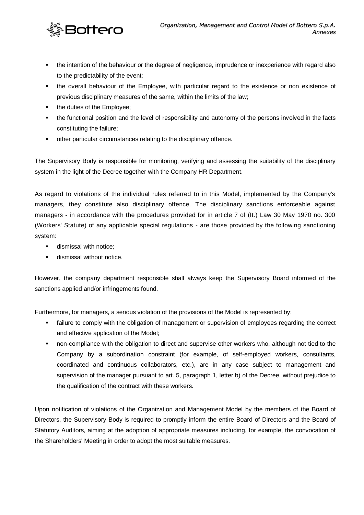

- the intention of the behaviour or the degree of negligence, imprudence or inexperience with regard also to the predictability of the event;
- the overall behaviour of the Employee, with particular regard to the existence or non existence of previous disciplinary measures of the same, within the limits of the law;
- the duties of the Employee;
- the functional position and the level of responsibility and autonomy of the persons involved in the facts constituting the failure;
- other particular circumstances relating to the disciplinary offence.

The Supervisory Body is responsible for monitoring, verifying and assessing the suitability of the disciplinary system in the light of the Decree together with the Company HR Department.

As regard to violations of the individual rules referred to in this Model, implemented by the Company's managers, they constitute also disciplinary offence. The disciplinary sanctions enforceable against managers - in accordance with the procedures provided for in article 7 of (It.) Law 30 May 1970 no. 300 (Workers' Statute) of any applicable special regulations - are those provided by the following sanctioning system:

- **dismissal with notice;**
- **dismissal without notice.**

However, the company department responsible shall always keep the Supervisory Board informed of the sanctions applied and/or infringements found.

Furthermore, for managers, a serious violation of the provisions of the Model is represented by:

- failure to comply with the obligation of management or supervision of employees regarding the correct and effective application of the Model;
- non-compliance with the obligation to direct and supervise other workers who, although not tied to the Company by a subordination constraint (for example, of self-employed workers, consultants, coordinated and continuous collaborators, etc.), are in any case subject to management and supervision of the manager pursuant to art. 5, paragraph 1, letter b) of the Decree, without prejudice to the qualification of the contract with these workers.

Upon notification of violations of the Organization and Management Model by the members of the Board of Directors, the Supervisory Body is required to promptly inform the entire Board of Directors and the Board of Statutory Auditors, aiming at the adoption of appropriate measures including, for example, the convocation of the Shareholders' Meeting in order to adopt the most suitable measures.